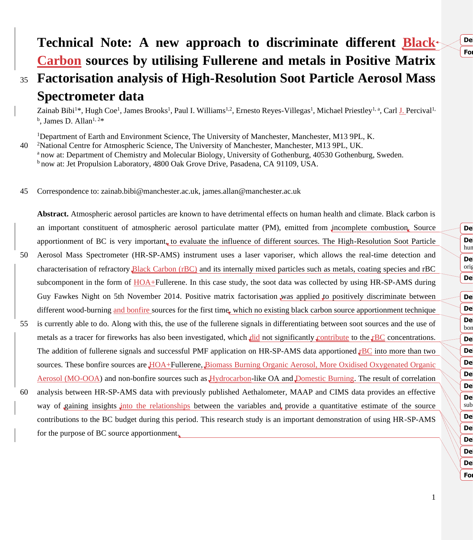# **For**

## **Technical Note: A new approach to discriminate different Black Carbon sources by utilising Fullerene and metals in Positive Matrix**  <sup>35</sup> **Factorisation analysis of High-Resolution Soot Particle Aerosol Mass**  65 **Deleted: black carbon**

**Spectrometer data**

Zainab Bibi<sup>1\*</sup>, Hugh Coe<sup>1</sup>, James Brooks<sup>1</sup>, Paul I. Williams<sup>1,2</sup>, Ernesto Reyes-Villegas<sup>1</sup>, Michael Priestley<sup>1, a</sup>, Carl <u>J.</u> Percival<sup>1</sup>  $^{\rm b}$ , James D. Allan<sup>1, 2\*</sup>

<sup>1</sup>Department of Earth and Environment Science, The University of Manchester, Manchester, M13 9PL, K.

40 <sup>2</sup>National Centre for Atmospheric Science, The University of Manchester, Manchester, M13 9PL, UK.

<sup>a</sup> now at: Department of Chemistry and Molecular Biology, University of Gothenburg, 40530 Gothenburg, Sweden.

<sup>b</sup> now at: Jet Propulsion Laboratory, 4800 Oak Grove Drive, Pasadena, CA 91109, USA.

45 Correspondence to: zainab.bibi@manchester.ac.uk, james.allan@manchester.ac.uk

**Abstract.** Atmospheric aerosol particles are known to have detrimental effects on human health and climate. Black carbon is an important constituent of atmospheric aerosol particulate matter (PM), emitted from incomplete combustion. Source apportionment of BC is very important, to evaluate the influence of different sources. The High-Resolution Soot Particle

- 50 Aerosol Mass Spectrometer (HR-SP-AMS) instrument uses a laser vaporiser, which allows the real-time detection and characterisation of refractory Black Carbon (rBC) and its internally mixed particles such as metals, coating species and rBC subcomponent in the form of HOA+Fullerene. In this case study, the soot data was collected by using HR-SP-AMS during Guy Fawkes Night on 5th November 2014. Positive matrix factorisation was applied to positively discriminate between different wood-burning and bonfire sources for the first time, which no existing black carbon source apportionment technique
- 55 is currently able to do. Along with this, the use of the fullerene signals in differentiating between soot sources and the use of metals as a tracer for fireworks has also been investigated, which did not significantly contribute to the  $\rm rBC$  concentrations. The addition of fullerene signals and successful PMF application on HR-SP-AMS data apportioned  $\text{FBC}$  into more than two sources. These bonfire sources are HOA+Fullerene, Biomass Burning Organic Aerosol, More Oxidised Oxygenated Organic Aerosol (MO-OOA) and non-bonfire sources such as Hydrocarbon-like OA and Domestic Burning. The result of correlation
- 60 analysis between HR-SP-AMS data with previously published Aethalometer, MAAP and CIMS data provides an effective way of gaining insights into the relationships between the variables and provide a quantitative estimate of the source contributions to the BC budget during this period. This research study is an important demonstration of using HR-SP-AMS for the purpose of BC source apportionment.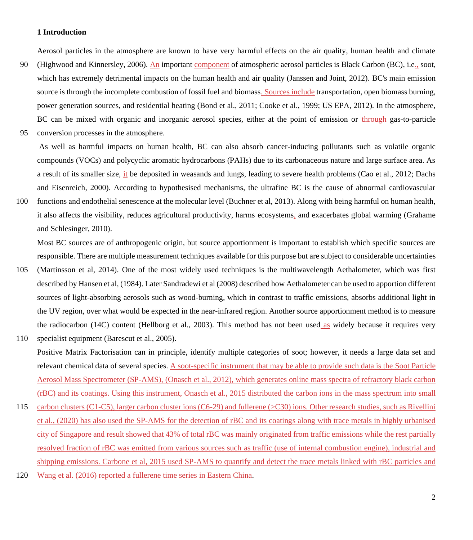#### **1 Introduction**

Aerosol particles in the atmosphere are known to have very harmful effects on the air quality, human health and climate

- 90 (Highwood and Kinnersley, 2006). An important component of atmospheric aerosol particles is Black Carbon (BC), i.e., soot, which has extremely detrimental impacts on the human health and air quality (Janssen and Joint, 2012). BC's main emission source is through the incomplete combustion of fossil fuel and biomass. Sources include transportation, open biomass burning, power generation sources, and residential heating (Bond et al., 2011; Cooke et al., 1999; US EPA, 2012). In the atmosphere, BC can be mixed with organic and inorganic aerosol species, either at the point of emission or through gas-to-particle
- 95 conversion processes in the atmosphere.

As well as harmful impacts on human health, BC can also absorb cancer-inducing pollutants such as volatile organic compounds (VOCs) and polycyclic aromatic hydrocarbons (PAHs) due to its carbonaceous nature and large surface area. As a result of its smaller size, it be deposited in weasands and lungs, leading to severe health problems (Cao et al., 2012; Dachs and Eisenreich, 2000). According to hypothesised mechanisms, the ultrafine BC is the cause of abnormal cardiovascular

100 functions and endothelial senescence at the molecular level (Buchner et al, 2013). Along with being harmful on human health, it also affects the visibility, reduces agricultural productivity, harms ecosystems, and exacerbates global warming (Grahame and Schlesinger, 2010).

Most BC sources are of anthropogenic origin, but source apportionment is important to establish which specific sources are responsible. There are multiple measurement techniques available for this purpose but are subject to considerable uncertainties

- 105 (Martinsson et al, 2014). One of the most widely used techniques is the multiwavelength Aethalometer, which was first described by Hansen et al, (1984). Later Sandradewi et al (2008) described how Aethalometer can be used to apportion different sources of light-absorbing aerosols such as wood-burning, which in contrast to traffic emissions, absorbs additional light in the UV region, over what would be expected in the near-infrared region. Another source apportionment method is to measure the radiocarbon (14C) content (Hellborg et al., 2003). This method has not been used as widely because it requires very 110 specialist equipment (Barescut et al., 2005).
- Positive Matrix Factorisation can in principle, identify multiple categories of soot; however, it needs a large data set and relevant chemical data of several species. A soot-specific instrument that may be able to provide such data is the Soot Particle Aerosol Mass Spectrometer (SP-AMS), (Onasch et al., 2012), which generates online mass spectra of refractory black carbon (rBC) and its coatings. Using this instrument, Onasch et al., 2015 distributed the carbon ions in the mass spectrum into small
- 115 carbon clusters (C1-C5), larger carbon cluster ions (C6-29) and fullerene (>C30) ions. Other research studies, such as Rivellini et al., (2020) has also used the SP-AMS for the detection of rBC and its coatings along with trace metals in highly urbanised city of Singapore and result showed that 43% of total rBC was mainly originated from traffic emissions while the rest partially resolved fraction of rBC was emitted from various sources such as traffic (use of internal combustion engine), industrial and shipping emissions. Carbone et al, 2015 used SP-AMS to quantify and detect the trace metals linked with rBC particles and
- 120 Wang et al. (2016) reported a fullerene time series in Eastern China.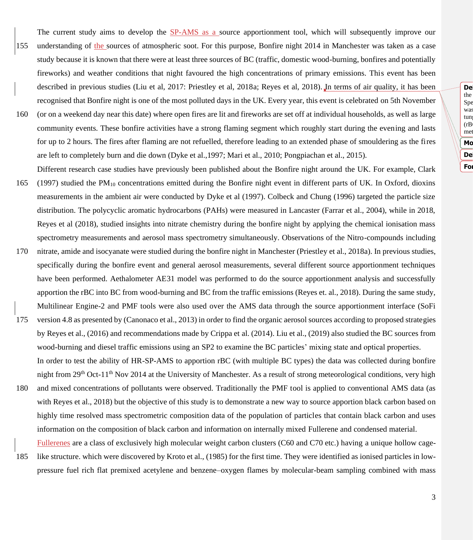**Deleted:** In this study, the HR-SP-AMS used was not the same as the  $Spe$  $\mathbb{R}$  was tung  $(rB)$ met Mo **Formatted:** Font color: Auto 195 **Deleted:** ¶

- The current study aims to develop the SP-AMS as a source apportionment tool, which will subsequently improve our 155 understanding of the sources of atmospheric soot. For this purpose, Bonfire night 2014 in Manchester was taken as a case study because it is known that there were at least three sources of BC (traffic, domestic wood-burning, bonfires and potentially fireworks) and weather conditions that night favoured the high concentrations of primary emissions. This event has been described in previous studies (Liu et al, 2017: Priestley et al, 2018a; Reyes et al, 2018). In terms of air quality, it has been recognised that Bonfire night is one of the most polluted days in the UK. Every year, this event is celebrated on 5th November 160 (or on a weekend day near this date) where open fires are lit and fireworks are set off at individual households, as well as large community events. These bonfire activities have a strong flaming segment which roughly start during the evening and lasts
- for up to 2 hours. The fires after flaming are not refuelled, therefore leading to an extended phase of smouldering as the fires are left to completely burn and die down (Dyke et al.,1997; Mari et al., 2010; Pongpiachan et al., 2015). Different research case studies have previously been published about the Bonfire night around the UK. For example, Clark 165 (1997) studied the PM<sup>10</sup> concentrations emitted during the Bonfire night event in different parts of UK. In Oxford, dioxins
- measurements in the ambient air were conducted by Dyke et al (1997). Colbeck and Chung (1996) targeted the particle size distribution. The polycyclic aromatic hydrocarbons (PAHs) were measured in Lancaster (Farrar et al., 2004), while in 2018, Reyes et al (2018), studied insights into nitrate chemistry during the bonfire night by applying the chemical ionisation mass spectrometry measurements and aerosol mass spectrometry simultaneously. Observations of the Nitro-compounds including
- 170 nitrate, amide and isocyanate were studied during the bonfire night in Manchester (Priestley et al., 2018a). In previous studies, specifically during the bonfire event and general aerosol measurements, several different source apportionment techniques have been performed. Aethalometer AE31 model was performed to do the source apportionment analysis and successfully apportion the rBC into BC from wood-burning and BC from the traffic emissions (Reyes et. al., 2018). During the same study, Multilinear Engine-2 and PMF tools were also used over the AMS data through the source apportionment interface (SoFi
- 175 version 4.8 as presented by (Canonaco et al., 2013) in order to find the organic aerosol sources according to proposed strategies by Reyes et al., (2016) and recommendations made by Crippa et al. (2014). Liu et al., (2019) also studied the BC sources from wood-burning and diesel traffic emissions using an SP2 to examine the BC particles' mixing state and optical properties. In order to test the ability of HR-SP-AMS to apportion rBC (with multiple BC types) the data was collected during bonfire night from 29<sup>th</sup> Oct-11<sup>th</sup> Nov 2014 at the University of Manchester. As a result of strong meteorological conditions, very high
- 180 and mixed concentrations of pollutants were observed. Traditionally the PMF tool is applied to conventional AMS data (as with Reyes et al., 2018) but the objective of this study is to demonstrate a new way to source apportion black carbon based on highly time resolved mass spectrometric composition data of the population of particles that contain black carbon and uses information on the composition of black carbon and information on internally mixed Fullerene and condensed material.
- Fullerenes are a class of exclusively high molecular weight carbon clusters (C60 and C70 etc.) having a unique hollow cage-185 like structure. which were discovered by Kroto et al., (1985) for the first time. They were identified as ionised particles in lowpressure fuel rich flat premixed acetylene and benzene–oxygen flames by molecular-beam sampling combined with mass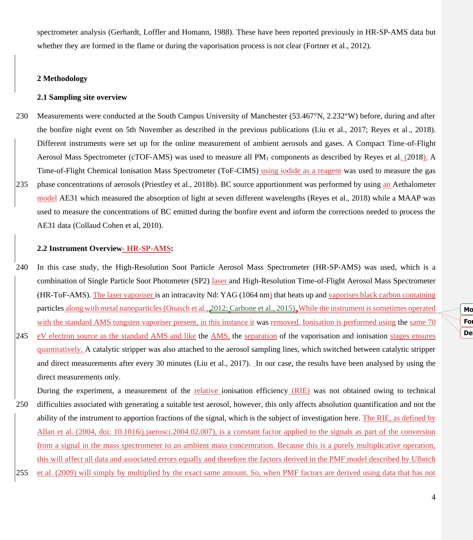spectrometer analysis (Gerhardt, Loffler and Homann, 1988). These have been reported previously in HR-SP-AMS data but whether they are formed in the flame or during the vaporisation process is not clear (Fortner et al., 2012).

### **2 Methodology**

#### **2.1 Sampling site overview**

230 Measurements were conducted at the South Campus University of Manchester (53.467°N, 2.232°W) before, during and after the bonfire night event on 5th November as described in the previous publications (Liu et al., 2017; Reyes et al., 2018). Different instruments were set up for the online measurement of ambient aerosols and gases. A Compact Time-of-Flight Aerosol Mass Spectrometer (cTOF-AMS) was used to measure all PM<sup>1</sup> components as described by Reyes et al. (2018). A Time-of-Flight Chemical Ionisation Mass Spectrometer (ToF-CIMS) using iodide as a reagent was used to measure the gas 235 phase concentrations of aerosols (Priestley et al., 2018b). BC source apportionment was performed by using an Aethalometer model AE31 which measured the absorption of light at seven different wavelengths (Reyes et al., 2018) while a MAAP was used to measure the concentrations of BC emitted during the bonfire event and inform the corrections needed to process the AE31 data (Collaud Cohen et al, 2010).

#### **2.2 Instrument Overview- HR-SP-AMS:**

- 240 In this case study, the High-Resolution Soot Particle Aerosol Mass Spectrometer (HR-SP-AMS) was used, which is a combination of Single Particle Soot Photometer (SP2) laser and High-Resolution Time-of-Flight Aerosol Mass Spectrometer (HR-ToF-AMS). The laser vaporiser is an intracavity Nd: YAG (1064 nm) that heats up and vaporises black carbon containing particles along with metal nanoparticles (Onasch et al., 2012; Carbone et al., 2015). While the instrument is sometimes operated with the standard AMS tungsten vaporiser present, in this instance it was removed. Ionisation is performed using the same 70
- 245 eV electron source as the standard AMS and like the AMS, the separation of the vaporisation and ionisation stages ensures quantitatively. A catalytic stripper was also attached to the aerosol sampling lines, which switched between catalytic stripper and direct measurements after every 30 minutes (Liu et al., 2017). In our case, the results have been analysed by using the direct measurements only.

During the experiment, a measurement of the relative ionisation efficiency (RIE) was not obtained owing to technical

- 250 difficulties associated with generating a suitable test aerosol, however, this only affects absolution quantification and not the ability of the instrument to apportion fractions of the signal, which is the subject of investigation here. The RIE, as defined by Allan et al. (2004, doi: 10.1016/j.jaerosci.2004.02.007), is a constant factor applied to the signals as part of the conversion from a signal in the mass spectrometer to an ambient mass concentration. Because this is a purely multiplicative operation, this will affect all data and associated errors equally and therefore the factors derived in the PMF model described by Ulbrich
- 255 et al. (2009) will simply by multiplied by the exact same amount. So, when PMF factors are derived using data that has not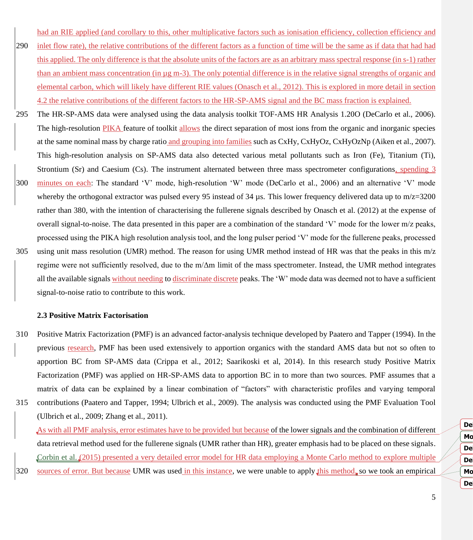had an RIE applied (and corollary to this, other multiplicative factors such as ionisation efficiency, collection efficiency and

- 290 inlet flow rate), the relative contributions of the different factors as a function of time will be the same as if data that had had this applied. The only difference is that the absolute units of the factors are as an arbitrary mass spectral response (in s-1) rather than an ambient mass concentration (in µg m-3). The only potential difference is in the relative signal strengths of organic and elemental carbon, which will likely have different RIE values (Onasch et al., 2012). This is explored in more detail in section 4.2 the relative contributions of the different factors to the HR-SP-AMS signal and the BC mass fraction is explained.
- 295 The HR-SP-AMS data were analysed using the data analysis toolkit TOF-AMS HR Analysis 1.20O (DeCarlo et al., 2006). The high-resolution PIKA feature of toolkit allows the direct separation of most ions from the organic and inorganic species at the same nominal mass by charge ratio and grouping into families such as CxHy, CxHyOz, CxHyOzNp (Aiken et al., 2007). This high-resolution analysis on SP-AMS data also detected various metal pollutants such as Iron (Fe), Titanium (Ti), Strontium (Sr) and Caesium (Cs). The instrument alternated between three mass spectrometer configurations, spending 3 300 minutes on each: The standard 'V' mode, high-resolution 'W' mode (DeCarlo et al., 2006) and an alternative 'V' mode whereby the orthogonal extractor was pulsed every 95 instead of 34  $\mu$ s. This lower frequency delivered data up to m/z=3200 rather than 380, with the intention of characterising the fullerene signals described by Onasch et al. (2012) at the expense of overall signal-to-noise. The data presented in this paper are a combination of the standard 'V' mode for the lower m/z peaks, processed using the PIKA high resolution analysis tool, and the long pulser period 'V' mode for the fullerene peaks, processed 305 using unit mass resolution (UMR) method. The reason for using UMR method instead of HR was that the peaks in this m/z regime were not sufficiently resolved, due to the m/Δm limit of the mass spectrometer. Instead, the UMR method integrates
- all the available signals without needing to discriminate discrete peaks. The 'W' mode data was deemed not to have a sufficient signal-to-noise ratio to contribute to this work.

#### **2.3 Positive Matrix Factorisation**

- 310 Positive Matrix Factorization (PMF) is an advanced factor-analysis technique developed by Paatero and Tapper (1994). In the previous research, PMF has been used extensively to apportion organics with the standard AMS data but not so often to apportion BC from SP-AMS data (Crippa et al., 2012; Saarikoski et al, 2014). In this research study Positive Matrix Factorization (PMF) was applied on HR-SP-AMS data to apportion BC in to more than two sources. PMF assumes that a matrix of data can be explained by a linear combination of "factors" with characteristic profiles and varying temporal
- 315 contributions (Paatero and Tapper, 1994; Ulbrich et al., 2009). The analysis was conducted using the PMF Evaluation Tool (Ulbrich et al., 2009; Zhang et al., 2011).

As with all PMF analysis, error estimates have to be provided but because of the lower signals and the combination of different data retrieval method used for the fullerene signals (UMR rather than HR), greater emphasis had to be placed on these signals. Corbin et al. (2015) presented a very detailed error model for HR data employing a Monte Carlo method to explore multiple 320 sources of error. But because UMR was used in this instance, we were unable to apply this method, so we took an empirical **Deleted:** Because **Moved (insertion) [2] Deleted:** Because De Mo 325 **Deleted:** (2015),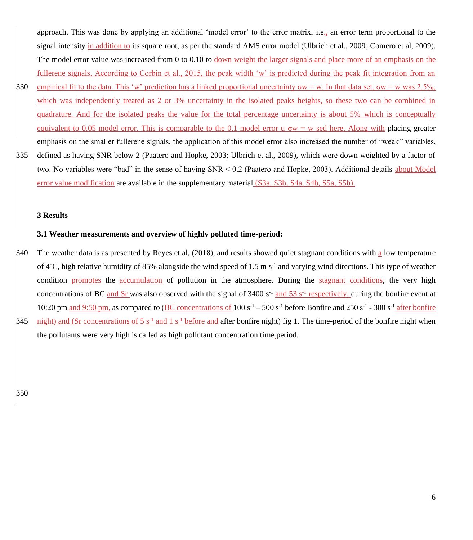approach. This was done by applying an additional 'model error' to the error matrix, i.e., an error term proportional to the signal intensity in addition to its square root, as per the standard AMS error model (Ulbrich et al., 2009; Comero et al, 2009). The model error value was increased from 0 to 0.10 to down weight the larger signals and place more of an emphasis on the fullerene signals. According to Corbin et al., 2015, the peak width 'w' is predicted during the peak fit integration from an

- 330 empirical fit to the data. This 'w' prediction has a linked proportional uncertainty  $\sigma w = w$ . In that data set,  $\sigma w = w$  was 2.5%, which was independently treated as 2 or 3% uncertainty in the isolated peaks heights, so these two can be combined in quadrature. And for the isolated peaks the value for the total percentage uncertainty is about 5% which is conceptually equivalent to 0.05 model error. This is comparable to the 0.1 model error u  $\sigma w = w$  sed here. Along with placing greater emphasis on the smaller fullerene signals, the application of this model error also increased the number of "weak" variables,
- 335 defined as having SNR below 2 (Paatero and Hopke, 2003; Ulbrich et al., 2009), which were down weighted by a factor of two. No variables were "bad" in the sense of having SNR < 0.2 (Paatero and Hopke, 2003). Additional details about Model error value modification are available in the supplementary material (S3a, S3b, S4a, S4b, S5a, S5b).

#### **3 Results**

#### **3.1 Weather measurements and overview of highly polluted time-period:**

340 The weather data is as presented by Reyes et al, (2018), and results showed quiet stagnant conditions with a low temperature of  $4^{\circ}$ C, high relative humidity of 85% alongside the wind speed of 1.5 m s<sup>-1</sup> and varying wind directions. This type of weather condition promotes the accumulation of pollution in the atmosphere. During the stagnant conditions, the very high concentrations of BC and Sr was also observed with the signal of  $3400 s<sup>-1</sup>$  and  $53 s<sup>-1</sup>$  respectively, during the bonfire event at 10:20 pm and 9:50 pm, as compared to (BC concentrations of 100 s<sup>-1</sup> – 500 s<sup>-1</sup> before Bonfire and 250 s<sup>-1</sup> - 300 s<sup>-1</sup> after bonfire 345  $\frac{night}{}$  and (Sr concentrations of 5 s<sup>-1</sup> and 1 s<sup>-1</sup> before and after bonfire night) fig 1. The time-period of the bonfire night when the pollutants were very high is called as high pollutant concentration time period.

350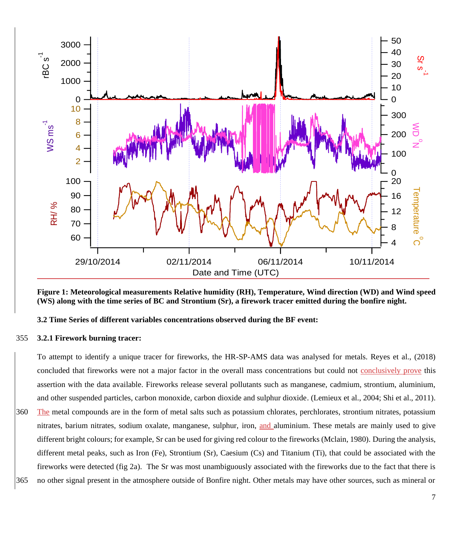

**Figure 1: Meteorological measurements Relative humidity (RH), Temperature, Wind direction (WD) and Wind speed (WS) along with the time series of BC and Strontium (Sr), a firework tracer emitted during the bonfire night.**

## **3.2 Time Series of different variables concentrations observed during the BF event:**

## **3.2.1 Firework burning tracer:**

To attempt to identify a unique tracer for fireworks, the HR-SP-AMS data was analysed for metals. Reyes et al., (2018) concluded that fireworks were not a major factor in the overall mass concentrations but could not conclusively prove this assertion with the data available. Fireworks release several pollutants such as manganese, cadmium, strontium, aluminium, and other suspended particles, carbon monoxide, carbon dioxide and sulphur dioxide. (Lemieux et al., 2004; Shi et al., 2011).

 The metal compounds are in the form of metal salts such as potassium chlorates, perchlorates, strontium nitrates, potassium nitrates, barium nitrates, sodium oxalate, manganese, sulphur, iron, and aluminium. These metals are mainly used to give different bright colours; for example, Sr can be used for giving red colour to the fireworks (Mclain, 1980). During the analysis, different metal peaks, such as Iron (Fe), Strontium (Sr), Caesium (Cs) and Titanium (Ti), that could be associated with the fireworks were detected (fig 2a). The Sr was most unambiguously associated with the fireworks due to the fact that there is

no other signal present in the atmosphere outside of Bonfire night. Other metals may have other sources, such as mineral or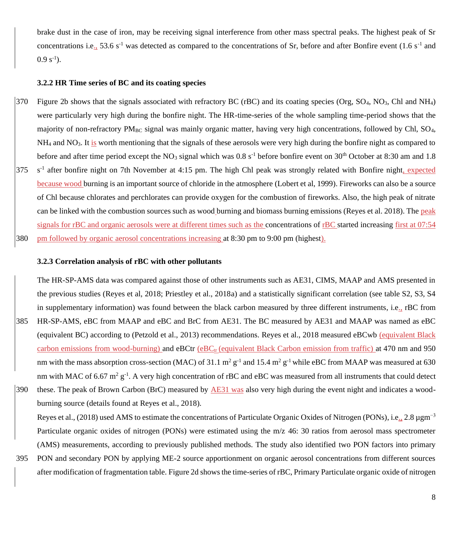brake dust in the case of iron, may be receiving signal interference from other mass spectral peaks. The highest peak of Sr concentrations i.e.,  $53.6 s^{-1}$  was detected as compared to the concentrations of Sr, before and after Bonfire event (1.6 s<sup>-1</sup> and  $0.9 s^{-1}$ ).

#### **3.2.2 HR Time series of BC and its coating species**

 $370$  Figure 2b shows that the signals associated with refractory BC (rBC) and its coating species (Org, SO<sub>4</sub>, NO<sub>3</sub>, Chl and NH<sub>4</sub>) were particularly very high during the bonfire night. The HR-time-series of the whole sampling time-period shows that the majority of non-refractory  $PM_{BC}$  signal was mainly organic matter, having very high concentrations, followed by Chl,  $SO<sub>4</sub>$ ,  $NH<sub>4</sub>$  and NO<sub>3</sub>. It is worth mentioning that the signals of these aerosols were very high during the bonfire night as compared to before and after time period except the NO<sub>3</sub> signal which was  $0.8 s<sup>-1</sup>$  before bonfire event on 30<sup>th</sup> October at 8:30 am and 1.8 375 s<sup>-1</sup> after bonfire night on 7th November at 4:15 pm. The high Chl peak was strongly related with Bonfire night, expected because wood burning is an important source of chloride in the atmosphere (Lobert et al, 1999). Fireworks can also be a source of Chl because chlorates and perchlorates can provide oxygen for the combustion of fireworks. Also, the high peak of nitrate can be linked with the combustion sources such as wood burning and biomass burning emissions (Reyes et al. 2018). The peak signals for rBC and organic aerosols were at different times such as the concentrations of rBC started increasing first at 07:54 380 pm followed by organic aerosol concentrations increasing at 8:30 pm to 9:00 pm (highest).

#### **3.2.3 Correlation analysis of rBC with other pollutants**

The HR-SP-AMS data was compared against those of other instruments such as AE31, CIMS, MAAP and AMS presented in the previous studies (Reyes et al, 2018; Priestley et al., 2018a) and a statistically significant correlation (see table S2, S3, S4 in supplementary information) was found between the black carbon measured by three different instruments, i.e., rBC from 385 HR-SP-AMS, eBC from MAAP and eBC and BrC from AE31. The BC measured by AE31 and MAAP was named as eBC (equivalent BC) according to (Petzold et al., 2013) recommendations. Reyes et al., 2018 measured eBCwb (equivalent Black carbon emissions from wood-burning) and eBCtr (eBC<sub>tr</sub> (equivalent Black Carbon emission from traffic) at 470 nm and 950 nm with the mass absorption cross-section (MAC) of 31.1  $m^2 g^{-1}$  and 15.4  $m^2 g^{-1}$  while eBC from MAAP was measured at 630 nm with MAC of 6.67 m<sup>2</sup> g<sup>-1</sup>. A very high concentration of rBC and eBC was measured from all instruments that could detect

390 these. The peak of Brown Carbon (BrC) measured by  $\overline{AE31}$  was also very high during the event night and indicates a woodburning source (details found at Reyes et al., 2018).

Reyes et al., (2018) used AMS to estimate the concentrations of Particulate Organic Oxides of Nitrogen (PONs), i.e., 2.8 µgm<sup>-3</sup> Particulate organic oxides of nitrogen (PONs) were estimated using the m/z 46: 30 ratios from aerosol mass spectrometer (AMS) measurements, according to previously published methods. The study also identified two PON factors into primary

395 PON and secondary PON by applying ME-2 source apportionment on organic aerosol concentrations from different sources after modification of fragmentation table. Figure 2d shows the time-series of rBC, Primary Particulate organic oxide of nitrogen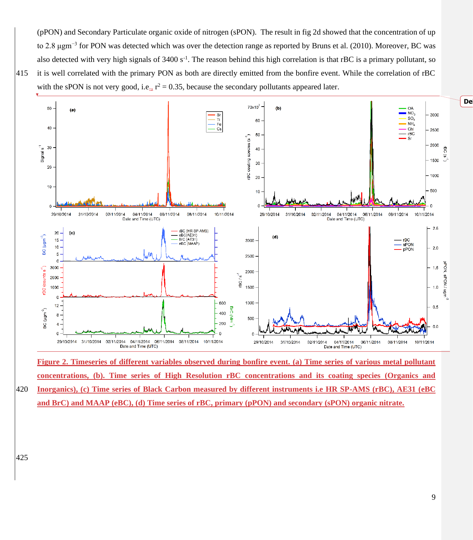(pPON) and Secondary Particulate organic oxide of nitrogen (sPON). The result in fig 2d showed that the concentration of up to 2.8 μgm<sup>−3</sup> for PON was detected which was over the detection range as reported by Bruns et al. (2010). Moreover, BC was also detected with very high signals of  $3400 s^{-1}$ . The reason behind this high correlation is that rBC is a primary pollutant, so 415 it is well correlated with the primary PON as both are directly emitted from the bonfire event. While the correlation of rBC





**Figure 2. Timeseries of different variables observed during bonfire event. (a) Time series of various metal pollutant concentrations, (b). Time series of High Resolution rBC concentrations and its coating species (Organics and**  420 **Inorganics), (c) Time series of Black Carbon measured by different instruments i.e HR SP-AMS (rBC), AE31 (eBC** 

**and BrC) and MAAP (eBC), (d) Time series of rBC, primary (pPON) and secondary (sPON) organic nitrate.**

425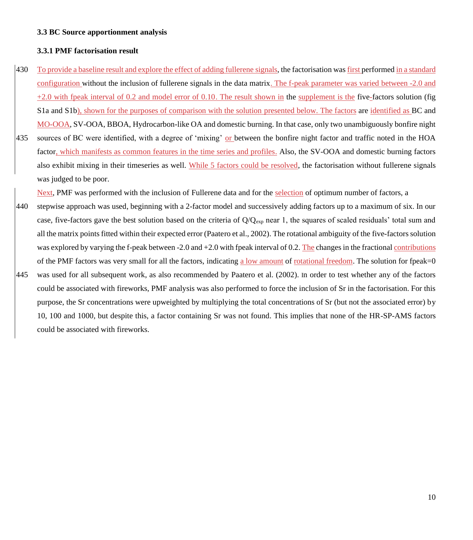#### **3.3 BC Source apportionment analysis**

#### **3.3.1 PMF factorisation result**

- 430 To provide a baseline result and explore the effect of adding fullerene signals, the factorisation was first performed in a standard configuration without the inclusion of fullerene signals in the data matrix. The f-peak parameter was varied between -2.0 and  $+2.0$  with fpeak interval of 0.2 and model error of 0.10. The result shown in the supplement is the five-factors solution (fig S1a and S1b), shown for the purposes of comparison with the solution presented below. The factors are identified as BC and MO-OOA, SV-OOA, BBOA, Hydrocarbon-like OA and domestic burning. In that case, only two unambiguously bonfire night 435 sources of BC were identified, with a degree of 'mixing' or between the bonfire night factor and traffic noted in the HOA
- factor, which manifests as common features in the time series and profiles. Also, the SV-OOA and domestic burning factors also exhibit mixing in their timeseries as well. While 5 factors could be resolved, the factorisation without fullerene signals was judged to be poor.

Next, PMF was performed with the inclusion of Fullerene data and for the selection of optimum number of factors, a

- 440 stepwise approach was used, beginning with a 2-factor model and successively adding factors up to a maximum of six. In our case, five-factors gave the best solution based on the criteria of Q/Q<sub>exp</sub> near 1, the squares of scaled residuals' total sum and all the matrix points fitted within their expected error (Paatero et al., 2002). The rotational ambiguity of the five-factorssolution was explored by varying the f-peak between -2.0 and +2.0 with fpeak interval of 0.2. The changes in the fractional contributions of the PMF factors was very small for all the factors, indicating a low amount of rotational freedom. The solution for fpeak=0
- 445 was used for all subsequent work, as also recommended by Paatero et al. (2002). In order to test whether any of the factors could be associated with fireworks, PMF analysis was also performed to force the inclusion of Sr in the factorisation. For this purpose, the Sr concentrations were upweighted by multiplying the total concentrations of Sr (but not the associated error) by 10, 100 and 1000, but despite this, a factor containing Sr was not found. This implies that none of the HR-SP-AMS factors could be associated with fireworks.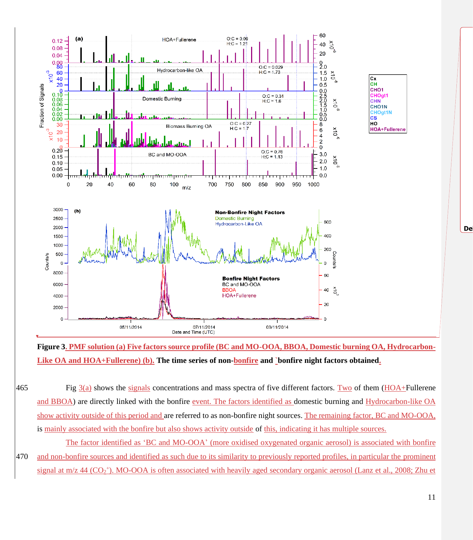

**Figure 3. PMF solution (a) Five factors source profile (BC and MO-OOA, BBOA, Domestic burning OA, Hydrocarbon-Like OA and HOA+Fullerene) (b). The time series of non-bonfire and `bonfire night factors obtained.**

- 465 Fig  $3(a)$  shows the signals concentrations and mass spectra of five different factors. Two of them (HOA+Fullerene and BBOA) are directly linked with the bonfire event. The factors identified as domestic burning and Hydrocarbon-like OA show activity outside of this period and are referred to as non-bonfire night sources. The remaining factor, BC and MO-OOA, is mainly associated with the bonfire but also shows activity outside of this, indicating it has multiple sources.
- The factor identified as 'BC and MO-OOA' (more oxidised oxygenated organic aerosol) is associated with bonfire 470 and non-bonfire sources and identified as such due to its similarity to previously reported profiles, in particular the prominent signal at m/z 44 (CO<sub>2</sub><sup>+</sup>). MO-OOA is often associated with heavily aged secondary organic aerosol (Lanz et al., 2008; Zhu et

**Deleted:** ¶

11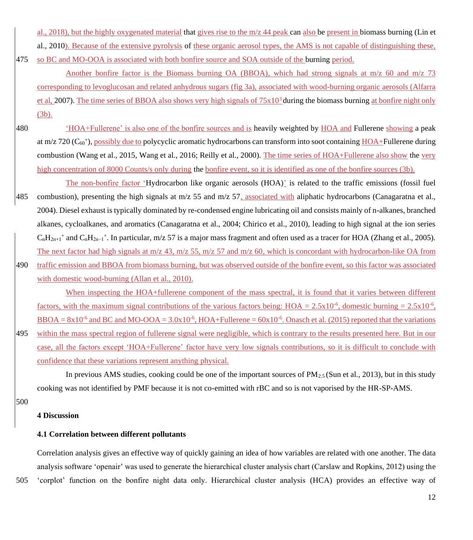al., 2018), but the highly oxygenated material that gives rise to the  $m/z$  44 peak can also be present in biomass burning (Lin et al., 2010). Because of the extensive pyrolysis of these organic aerosol types, the AMS is not capable of distinguishing these,

- 475 so BC and MO-OOA is associated with both bonfire source and SOA outside of the burning period. Another bonfire factor is the Biomass burning OA (BBOA), which had strong signals at m/z 60 and m/z 73 corresponding to levoglucosan and related anhydrous sugars (fig 3a), associated with wood-burning organic aerosols (Alfarra et al, 2007). The time series of BBOA also shows very high signals of  $75x10<sup>3</sup>$  during the biomass burning at bonfire night only (3b).
- 480 'HOA+Fullerene' is also one of the bonfire sources and is heavily weighted by HOA and Fullerene showing a peak at m/z 720 (C<sub>60</sub><sup>+</sup>), possibly due to polycyclic aromatic hydrocarbons can transform into soot containing HOA+Fullerene during combustion (Wang et al., 2015, Wang et al., 2016; Reilly et al., 2000). The time series of HOA+Fullerene also show the very high concentration of 8000 Counts/s only during the bonfire event, so it is identified as one of the bonfire sources (3b).
- The non-bonfire factor 'Hydrocarbon like organic aerosols (HOA)' is related to the traffic emissions (fossil fuel 485 combustion), presenting the high signals at m/z 55 and m/z 57, associated with aliphatic hydrocarbons (Canagaratna et al., 2004). Diesel exhaust is typically dominated by re-condensed engine lubricating oil and consists mainly of n-alkanes, branched alkanes, cycloalkanes, and aromatics (Canagaratna et al., 2004; Chirico et al., 2010), leading to high signal at the ion series  $C_nH_{2n+1}$ <sup>+</sup> and  $C_nH_{2n-1}$ <sup>+</sup>. In particular, m/z 57 is a major mass fragment and often used as a tracer for HOA (Zhang et al., 2005). The next factor had high signals at  $m/z$  43,  $m/z$  55,  $m/z$  57 and  $m/z$  60, which is concordant with hydrocarbon-like OA from
- 490 traffic emission and BBOA from biomass burning, but was observed outside of the bonfire event, so this factor was associated with domestic wood-burning (Allan et al., 2010).

When inspecting the HOA+fullerene component of the mass spectral, it is found that it varies between different factors, with the maximum signal contributions of the various factors being:  $HOA = 2.5 \times 10^{-6}$ , domestic burning =  $2.5 \times 10^{-6}$ ,  $BBOA = 8x10^{-6}$  and BC and MO-OOA =  $3.0x10^{-6}$ , HOA+Fullerene =  $60x10^{-6}$ . Onasch et al. (2015) reported that the variations

495 within the mass spectral region of fullerene signal were negligible, which is contrary to the results presented here. But in our case, all the factors except 'HOA+Fullerene' factor have very low signals contributions, so it is difficult to conclude with confidence that these variations represent anything physical.

In previous AMS studies, cooking could be one of the important sources of  $PM_{2.5}$  (Sun et al., 2013), but in this study cooking was not identified by PMF because it is not co-emitted with rBC and so is not vaporised by the HR-SP-AMS.

500

#### **4 Discussion**

## **4.1 Correlation between different pollutants**

Correlation analysis gives an effective way of quickly gaining an idea of how variables are related with one another. The data analysis software 'openair' was used to generate the hierarchical cluster analysis chart (Carslaw and Ropkins, 2012) using the 505 'corplot' function on the bonfire night data only. Hierarchical cluster analysis (HCA) provides an effective way of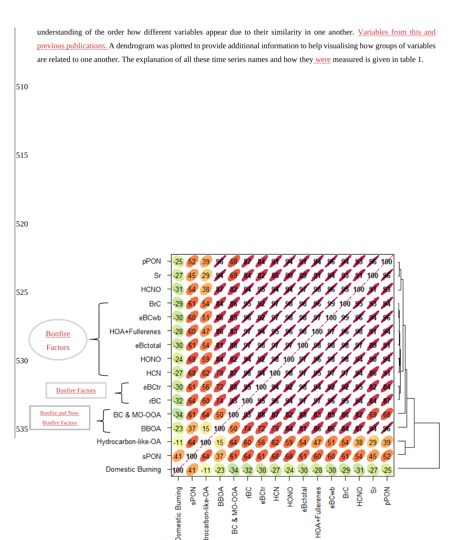understanding of the order how different variables appear due to their similarity in one another. Variables from this and previous publications. A dendrogram was plotted to provide additional information to help visualising how groups of variables are related to one another. The explanation of all these time series names and how they were measured is given in table 1.



### 515

520

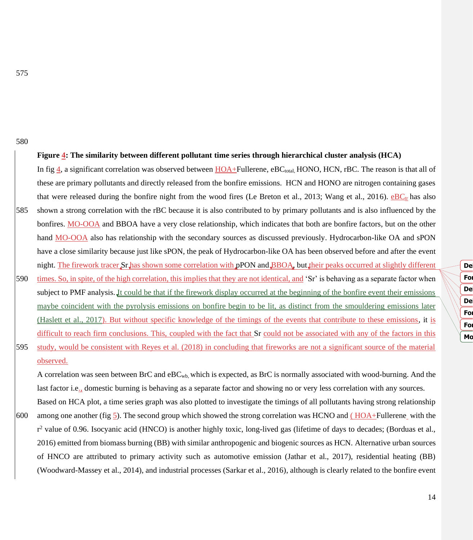#### **Figure 4: The similarity between different pollutant time series through hierarchical cluster analysis (HCA)**

In fig  $\pm$ , a significant correlation was observed between HOA+Fullerene, eBC<sub>total</sub>, HONO, HCN, rBC. The reason is that all of these are primary pollutants and directly released from the bonfire emissions. HCN and HONO are nitrogen containing gases that were released during the bonfire night from the wood fires (Le Breton et al., 2013; Wang et al., 2016).  $eBC<sub>tr</sub>$  has also

- 585 shown a strong correlation with the rBC because it is also contributed to by primary pollutants and is also influenced by the bonfires. MO-OOA and BBOA have a very close relationship, which indicates that both are bonfire factors, but on the other hand MO-OOA also has relationship with the secondary sources as discussed previously. Hydrocarbon-like OA and sPON have a close similarity because just like sPON, the peak of Hydrocarbon-like OA has been observed before and after the event night. The firework tracer Sr has shown some correlation with pPON and BBOA, but their peaks occurred at slightly different
- 590 times. So, in spite, of the high correlation, this implies that they are not identical, and 'Sr' is behaving as a separate factor when subject to PMF analysis. It could be that if the firework display occurred at the beginning of the bonfire event their emissions maybe coincident with the pyrolysis emissions on bonfire begin to be lit, as distinct from the smouldering emissions later (Haslett et al., 2017). But without specific knowledge of the timings of the events that contribute to these emissions, it is difficult to reach firm conclusions. This, coupled with the fact that Sr could not be associated with any of the factors in this
- 595 study, would be consistent with Reyes et al. (2018) in concluding that fireworks are not a significant source of the material observed.

A correlation was seen between BrC and eBCwb, which is expected, as BrC is normally associated with wood-burning. And the last factor i.e., domestic burning is behaving as a separate factor and showing no or very less correlation with any sources.

Based on HCA plot, a time series graph was also plotted to investigate the timings of all pollutants having strong relationship 600 among one another (fig 5). The second group which showed the strong correlation was HCNO and ( $HOA+Full$ erene with the r<sup>2</sup> value of 0.96. Isocyanic acid (HNCO) is another highly toxic, long-lived gas (lifetime of days to decades; (Borduas et al., 2016) emitted from biomass burning (BB) with similar anthropogenic and biogenic sources as HCN. Alternative urban sources of HNCO are attributed to primary activity such as automotive emission (Jathar et al., 2017), residential heating (BB) (Woodward-Massey et al., 2014), and industrial processes (Sarkar et al., 2016), although is clearly related to the bonfire event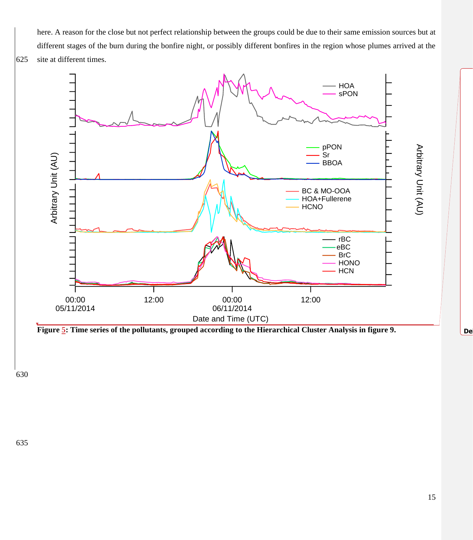here. A reason for the close but not perfect relationship between the groups could be due to their same emission sources but at different stages of the burn during the bonfire night, or possibly different bonfires in the region whose plumes arrived at the 625 site at different times.



630

**Deleted:** ¶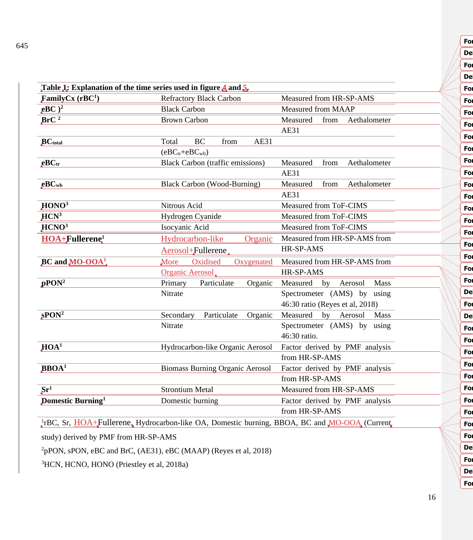| Table 1: Explanation of the time series used in figure 4 and 5. |                                                                                                           |                                  |  |
|-----------------------------------------------------------------|-----------------------------------------------------------------------------------------------------------|----------------------------------|--|
| FamilyCx $(rBC1)$                                               | <b>Refractory Black Carbon</b>                                                                            | Measured from HR-SP-AMS          |  |
| $eBC$ <sup>2</sup>                                              | <b>Black Carbon</b>                                                                                       | Measured from MAAP               |  |
| BrC <sup>2</sup>                                                | <b>Brown Carbon</b>                                                                                       | Measured<br>from<br>Aethalometer |  |
|                                                                 |                                                                                                           | AE31                             |  |
| <b>BC</b> total                                                 | <b>BC</b><br>AE31<br>Total<br>from                                                                        |                                  |  |
|                                                                 | $(eBCtr+eBCwb)$                                                                                           |                                  |  |
| $_{\rm eBC}$                                                    | <b>Black Carbon (traffic emissions)</b>                                                                   | Measured<br>Aethalometer<br>from |  |
|                                                                 |                                                                                                           | AE31                             |  |
| $_{\rm eBC_{wb}}$                                               | <b>Black Carbon (Wood-Burning)</b>                                                                        | Measured<br>Aethalometer<br>from |  |
|                                                                 |                                                                                                           | <b>AE31</b>                      |  |
| HONO <sup>3</sup>                                               | Nitrous Acid                                                                                              | Measured from ToF-CIMS           |  |
| $HCN^3$                                                         | Hydrogen Cyanide                                                                                          | Measured from ToF-CIMS           |  |
| HCNO <sup>3</sup>                                               | Isocyanic Acid                                                                                            | Measured from ToF-CIMS           |  |
| <b>HOA+Fullerene</b> <sup>1</sup>                               | Hydrocarbon-like<br>Organic                                                                               | Measured from HR-SP-AMS from     |  |
|                                                                 | Aerosol+Fullerene                                                                                         | HR-SP-AMS                        |  |
| $BC$ and $MO-OOA$ <sup>1</sup> .                                | Oxidised<br>Oxygenated<br>More                                                                            | Measured from HR-SP-AMS from     |  |
|                                                                 | Organic Aerosol                                                                                           | HR-SP-AMS                        |  |
| $pPON^2$                                                        | Organic<br>Primary<br>Particulate                                                                         | Measured<br>by Aerosol<br>Mass   |  |
|                                                                 | Nitrate                                                                                                   | Spectrometer (AMS) by using      |  |
|                                                                 |                                                                                                           | 46:30 ratio (Reyes et al, 2018)  |  |
| $\textbf{sPON}^2$                                               | Secondary<br>Particulate<br>Organic                                                                       | Measured by Aerosol<br>Mass      |  |
|                                                                 | Nitrate                                                                                                   | Spectrometer (AMS) by using      |  |
|                                                                 |                                                                                                           | 46:30 ratio.                     |  |
| HOA <sup>1</sup>                                                | Hydrocarbon-like Organic Aerosol                                                                          | Factor derived by PMF analysis   |  |
|                                                                 |                                                                                                           | from HR-SP-AMS                   |  |
| $BBOA1$                                                         | <b>Biomass Burning Organic Aerosol</b>                                                                    | Factor derived by PMF analysis   |  |
|                                                                 |                                                                                                           | from HR-SP-AMS                   |  |
| $\overline{\text{Sr}^1}$                                        | <b>Strontium Metal</b>                                                                                    | Measured from HR-SP-AMS          |  |
| <b>Domestic Burning</b> <sup>1</sup>                            | Domestic burning                                                                                          | Factor derived by PMF analysis   |  |
|                                                                 |                                                                                                           | from HR-SP-AMS                   |  |
|                                                                 | $\frac{1}{4}$ rBC, Sr, HOA+Fullerene, Hydrocarbon-like OA, Domestic burning, BBOA, BC and MO-OOA (Current |                                  |  |

study) derived by PMF from HR-SP-AMS

<sup>2</sup>pPON, sPON, eBC and BrC, (AE31), eBC (MAAP) (Reyes et al, 2018)

<sup>3</sup>HCN, HCNO, HONO (Priestley et al, 2018a)

16

**Formatted:** Font color: Auto

**Deleted: 5**

**Fo** 

**Formatted:** Font color: Auto **Formatted:** Font color: Auto **Formatted:** Font color: Auto **Fo Fo** 

**Formatted:** Font color: Auto **Formatted:** Font color: Auto **Formatted:** Font color: Auto

**Fo** 

**Formatted:** Font color: Auto **Formatted:** Font color: Auto **Deleted: HULIS<sup>1</sup>**

**Deleted:** HULIS **Formatted:** Font color: Auto **Formatted:** Font color: Auto **Formatted:** Font color: Auto **Formatted:** Font color: Auto

**Formatted:** Font color: Auto **Formatted:** Font color: Auto **Formatted:** Font color: Auto

**Formatted:** Font color: Auto **Deleted:** HULIS **Formatted:** Font color: Auto **Deleted:** Case **Formatted:** Font color: Auto

650 **Deleted: 6**

**Formatted:** Font color: Auto

**Formatted:** Font color: Auto

**Formatted:** Font color: Auto

**Formatted:** Font color: Auto

**Formatted:** Font color: Auto

**Formatted:** Font color: Auto

**For** 

**For** 

**Formatted:** Font: 11 pt, Font color: Auto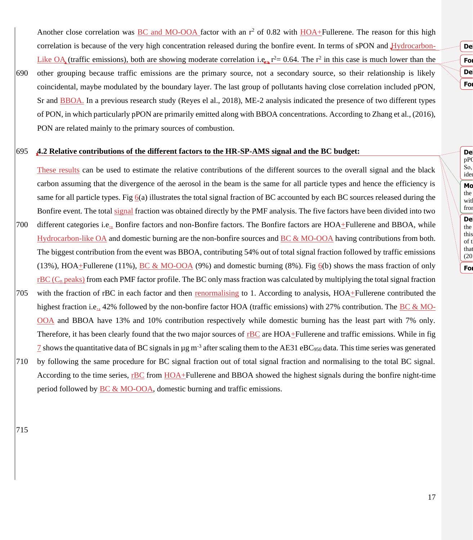Another close correlation was BC and MO-OOA factor with an  $r^2$  of 0.82 with HOA+Fullerene. The reason for this high correlation is because of the very high concentration released during the bonfire event. In terms of sPON and Hydrocarbon-Like OA (traffic emissions), both are showing moderate correlation i.e.,  $r^2 = 0.64$ . The  $r^2$  in this case is much lower than the 690 other grouping because traffic emissions are the primary source, not a secondary source, so their relationship is likely

- - coincidental, maybe modulated by the boundary layer. The last group of pollutants having close correlation included pPON, Sr and BBOA. In a previous research study (Reyes el al., 2018), ME-2 analysis indicated the presence of two different types of PON, in which particularly pPON are primarily emitted along with BBOA concentrations. According to Zhang et al., (2016), PON are related mainly to the primary sources of combustion.

#### 695 **4.2 Relative contributions of the different factors to the HR-SP-AMS signal and the BC budget:**

These results can be used to estimate the relative contributions of the different sources to the overall signal and the black carbon assuming that the divergence of the aerosol in the beam is the same for all particle types and hence the efficiency is same for all particle types. Fig 6(a) illustrates the total signal fraction of BC accounted by each BC sources released during the Bonfire event. The total signal fraction was obtained directly by the PMF analysis. The five factors have been divided into two 700 different categories i.e., Bonfire factors and non-Bonfire factors. The Bonfire factors are HOA+Fullerene and BBOA, while Hydrocarbon-like OA and domestic burning are the non-bonfire sources and BC & MO-OOA having contributions from both. The biggest contribution from the event was BBOA, contributing 54% out of total signal fraction followed by traffic emissions (13%), HOA $+$ Fullerene (11%), BC & MO-OOA (9%) and domestic burning (8%). Fig  $6(b)$  shows the mass fraction of only  $rBC$  (C<sub>n</sub> peaks) from each PMF factor profile. The BC only mass fraction was calculated by multiplying the total signal fraction 705 with the fraction of rBC in each factor and then renormalising to 1. According to analysis, HOA+Fullerene contributed the highest fraction i.e., 42% followed by the non-bonfire factor HOA (traffic emissions) with 27% contribution. The BC & MO-OOA and BBOA have 13% and 10% contribution respectively while domestic burning has the least part with 7% only. Therefore, it has been clearly found that the two major sources of rBC are HOA+Fullerene and traffic emissions. While in fig  $\frac{7}{2}$  shows the quantitative data of BC signals in µg m<sup>-3</sup> after scaling them to the AE31 eBC<sub>950</sub> data. This time series was generated 710 by following the same procedure for BC signal fraction out of total signal fraction and normalising to the total BC signal.

According to the time series, rBC from HOA+Fullerene and BBOA showed the highest signals during the bonfire night-time period followed by BC & MO-OOA, domestic burning and traffic emissions.

715

**Formatted:** Font color: Auto 720 **Deleted:** . **Formatted:** Font color: Auto

**Deleted:** factor 4

**Deleted:** The firework tracer Sr has shown some correlation with pPO So, ide  $\begin{array}{|c|c|c|}\n\hline\n\end{array}$   $\begin{array}{|c|c|}\n\hline\n\end{array}$  **Moved Be** the with from the small ended the small ended the small ended the small ended the small ended the small ended the small ended the small ended the small ended the small ended the small ended the small ended the small ended the small **Formatted:** Font color: Auto **Deleted:** ), however, without specific knowledge of the timings of  $\frac{1}{\sqrt{2}}$  the this of t that  $(20)$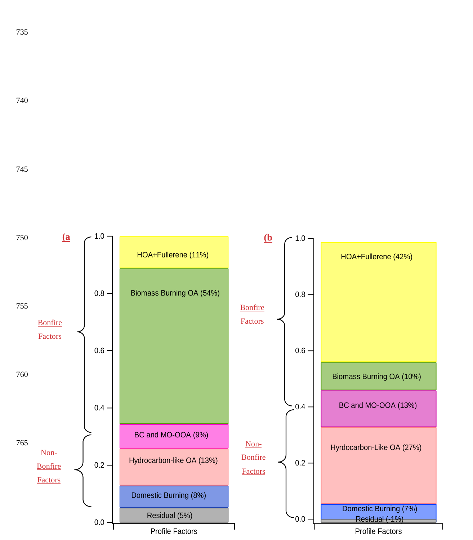

740

735

745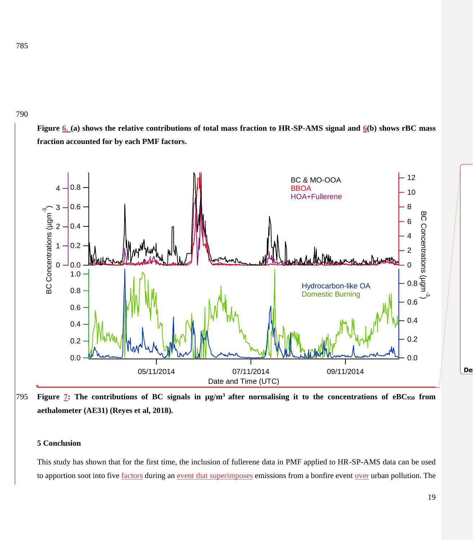**Figure 6. (a) shows the relative contributions of total mass fraction to HR-SP-AMS signal and 6(b) shows rBC mass fraction accounted for by each PMF factors.**



**Figure 7: The contributions of BC signals in µg/m<sup>3</sup>**795 **after normalising it to the concentrations of eBC<sup>950</sup> from aethalometer (AE31) (Reyes et al, 2018).**

#### **5 Conclusion**

This study has shown that for the first time, the inclusion of fullerene data in PMF applied to HR-SP-AMS data can be used to apportion soot into five factors during an event that superimposes emissions from a bonfire event over urban pollution. The

800 **Deleted: ¶**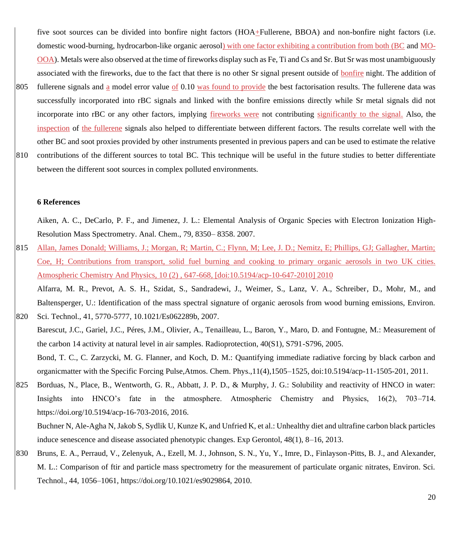five soot sources can be divided into bonfire night factors (HOA+Fullerene, BBOA) and non-bonfire night factors (i.e. domestic wood-burning, hydrocarbon-like organic aerosol) with one factor exhibiting a contribution from both (BC and MO-OOA). Metals were also observed at the time of fireworks display such as Fe, Ti and Cs and Sr. But Sr was most unambiguously associated with the fireworks, due to the fact that there is no other Sr signal present outside of bonfire night. The addition of

805 fullerene signals and a model error value of 0.10 was found to provide the best factorisation results. The fullerene data was successfully incorporated into rBC signals and linked with the bonfire emissions directly while Sr metal signals did not incorporate into rBC or any other factors, implying fireworks were not contributing significantly to the signal. Also, the inspection of the fullerene signals also helped to differentiate between different factors. The results correlate well with the other BC and soot proxies provided by other instruments presented in previous papers and can be used to estimate the relative

810 contributions of the different sources to total BC. This technique will be useful in the future studies to better differentiate between the different soot sources in complex polluted environments.

#### **6 References**

Aiken, A. C., DeCarlo, P. F., and Jimenez, J. L.: Elemental Analysis of Organic Species with Electron Ionization High-Resolution Mass Spectrometry. Anal. Chem., 79, 8350– 8358. 2007.

815 Allan, James Donald; Williams, J.; Morgan, R; Martin, C.; Flynn, M; Lee, J. D.; Nemitz, E; Phillips, GJ; Gallagher, Martin; Coe, H; Contributions from transport, solid fuel burning and cooking to primary organic aerosols in two UK cities. Atmospheric Chemistry And Physics, 10 (2) , 647-668, [doi:10.5194/acp-10-647-2010] 2010

Alfarra, M. R., Prevot, A. S. H., Szidat, S., Sandradewi, J., Weimer, S., Lanz, V. A., Schreiber, D., Mohr, M., and Baltensperger, U.: Identification of the mass spectral signature of organic aerosols from wood burning emissions, Environ. 820 Sci. Technol., 41, 5770-5777, 10.1021/Es062289b, 2007.

Barescut, J.C., Gariel, J.C., Péres, J.M., Olivier, A., Tenailleau, L., Baron, Y., Maro, D. and Fontugne, M.: Measurement of the carbon 14 activity at natural level in air samples. Radioprotection, 40(S1), S791-S796, 2005.

Bond, T. C., C. Zarzycki, M. G. Flanner, and Koch, D. M.: Quantifying immediate radiative forcing by black carbon and organicmatter with the Specific Forcing Pulse,Atmos. Chem. Phys.,11(4),1505–1525, doi:10.5194/acp-11-1505-201, 2011.

825 Borduas, N., Place, B., Wentworth, G. R., Abbatt, J. P. D., & Murphy, J. G.: Solubility and reactivity of HNCO in water: Insights into HNCO's fate in the atmosphere. Atmospheric Chemistry and Physics, 16(2), 703–714. [https://doi.org/10.5194/acp-16-703-2016,](https://doi.org/10.5194/acp-16-703-2016) 2016.

Buchner N, Ale-Agha N, Jakob S, Sydlik U, Kunze K, and Unfried K, et al.: Unhealthy diet and ultrafine carbon black particles induce senescence and disease associated phenotypic changes. Exp Gerontol, 48(1), 8–16, 2013.

830 Bruns, E. A., Perraud, V., Zelenyuk, A., Ezell, M. J., Johnson, S. N., Yu, Y., Imre, D., Finlayson-Pitts, B. J., and Alexander, M. L.: Comparison of ftir and particle mass spectrometry for the measurement of particulate organic nitrates, Environ. Sci. Technol., 44, 1056–1061, https://doi.org/10.1021/es9029864, 2010.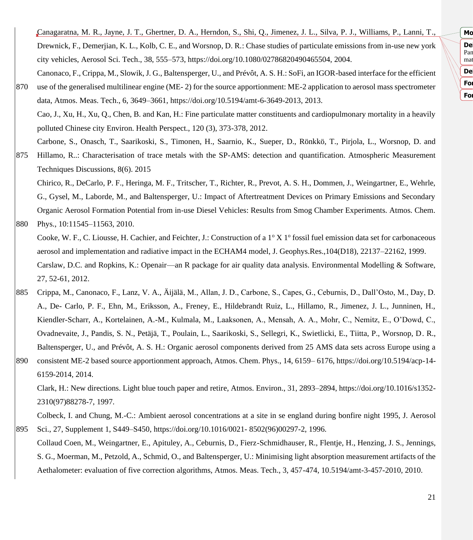**Deleted:** Calace, N., Petronio, B. M., Cini, R., Stortini, A. M.,  $\mathbb{N}$  | Pan mat **Moved down [4]:** Environ. **Formatted:** Font color: Auto **Deleted:** Anal. Chem., 79, 331–348, 2001.¶ **Formatted:** Font color: Auto

Canagaratna, M. R., Jayne, J. T., Ghertner, D. A., Herndon, S., Shi, Q., Jimenez, J. L., Silva, P. J., Williams, P., Lanni, T., Drewnick, F., Demerjian, K. L., Kolb, C. E., and Worsnop, D. R.: Chase studies of particulate emissions from in-use new york city vehicles, Aerosol Sci. Tech., 38, 555–573, https://doi.org/10.1080/02786820490465504, 2004. Canonaco, F., Crippa, M., Slowik, J. G., Baltensperger, U., and Prévôt, A. S. H.: SoFi, an IGOR-based interface for the efficient

- 870 use of the generalised multilinear engine (ME- 2) for the source apportionment: ME-2 application to aerosol mass spectrometer data, Atmos. Meas. Tech., 6, 3649–3661, https://doi.org/10.5194/amt-6-3649-2013, 2013. Cao, J., Xu, H., Xu, Q., Chen, B. and Kan, H.: Fine particulate matter constituents and cardiopulmonary mortality in a heavily polluted Chinese city Environ. Health Perspect., 120 (3), 373-378, 2012. Carbone, S., Onasch, T., Saarikoski, S., Timonen, H., Saarnio, K., Sueper, D., Rönkkö, T., Pirjola, L., Worsnop, D. and
- 875 Hillamo, R..: Characterisation of trace metals with the SP-AMS: detection and quantification. Atmospheric Measurement Techniques Discussions, 8(6). 2015

Chirico, R., DeCarlo, P. F., Heringa, M. F., Tritscher, T., Richter, R., Prevot, A. S. H., Dommen, J., Weingartner, E., Wehrle, G., Gysel, M., Laborde, M., and Baltensperger, U.: Impact of Aftertreatment Devices on Primary Emissions and Secondary Organic Aerosol Formation Potential from in-use Diesel Vehicles: Results from Smog Chamber Experiments. Atmos. Chem. 880 Phys., 10:11545–11563, 2010.

- Cooke, W. F., C. Liousse, H. Cachier, and Feichter, J.: Construction of a  $1^{\circ}$  X  $1^{\circ}$  fossil fuel emission data set for carbonaceous aerosol and implementation and radiative impact in the ECHAM4 model, J. Geophys.Res.,104(D18), 22137–22162, 1999. Carslaw, D.C. and Ropkins, K.: Openair—an R package for air quality data analysis. Environmental Modelling & Software, 27, 52-61, 2012.
- 885 Crippa, M., Canonaco, F., Lanz, V. A., Äijälä, M., Allan, J. D., Carbone, S., Capes, G., Ceburnis, D., Dall'Osto, M., Day, D. A., De- Carlo, P. F., Ehn, M., Eriksson, A., Freney, E., Hildebrandt Ruiz, L., Hillamo, R., Jimenez, J. L., Junninen, H., Kiendler-Scharr, A., Kortelainen, A.-M., Kulmala, M., Laaksonen, A., Mensah, A. A., Mohr, C., Nemitz, E., O'Dowd, C., Ovadnevaite, J., Pandis, S. N., Petäjä, T., Poulain, L., Saarikoski, S., Sellegri, K., Swietlicki, E., Tiitta, P., Worsnop, D. R., Baltensperger, U., and Prévôt, A. S. H.: Organic aerosol components derived from 25 AMS data sets across Europe using a
- 890 consistent ME-2 based source apportionment approach, Atmos. Chem. Phys., 14, 6159– 6176, https://doi.org/10.5194/acp-14- 6159-2014, 2014.

Clark, H.: New directions. Light blue touch paper and retire, Atmos. Environ., 31, 2893–2894,<https://doi.org/10.1016/s1352-> 2310(97)88278-7, 1997.

Colbeck, I. and Chung, M.-C.: Ambient aerosol concentrations at a site in se england during bonfire night 1995, J. Aerosol 895 Sci., 27, Supplement 1, S449–S450,<https://doi.org/10.1016/0021-> 8502(96)00297-2, 1996.

Collaud Coen, M., Weingartner, E., Apituley, A., Ceburnis, D., Fierz-Schmidhauser, R., Flentje, H., Henzing, J. S., Jennings, S. G., Moerman, M., Petzold, A., Schmid, O., and Baltensperger, U.: Minimising light absorption measurement artifacts of the Aethalometer: evaluation of five correction algorithms, Atmos. Meas. Tech., 3, 457-474, 10.5194/amt-3-457-2010, 2010.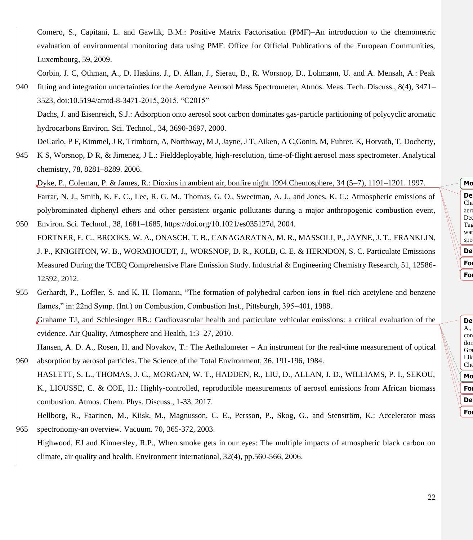Comero, S., Capitani, L. and Gawlik, B.M.: Positive Matrix Factorisation (PMF)–An introduction to the chemometric evaluation of environmental monitoring data using PMF. Office for Official Publications of the European Communities, Luxembourg, 59, 2009.

Corbin, J. C, Othman, A., D. Haskins, J., D. Allan, J., Sierau, B., R. Worsnop, D., Lohmann, U. and A. Mensah, A.: Peak 940 fitting and integration uncertainties for the Aerodyne Aerosol Mass Spectrometer, Atmos. Meas. Tech. Discuss., 8(4), 3471– 3523, doi:10.5194/amtd-8-3471-2015, 2015. "C2015"

Dachs, J. and Eisenreich, S.J.: Adsorption onto aerosol soot carbon dominates gas-particle partitioning of polycyclic aromatic hydrocarbons Environ. Sci. Technol., 34, 3690-3697, 2000.

DeCarlo, P F, Kimmel, J R, Trimborn, A, Northway, M J, Jayne, J T, Aiken, A C,Gonin, M, Fuhrer, K, Horvath, T, Docherty,

945 K S, Worsnop, D R, & Jimenez, J L.: Fielddeployable, high-resolution, time-of-flight aerosol mass spectrometer. Analytical chemistry, 78, 8281–8289. 2006.

Dyke, P., Coleman, P. & James, R.: Dioxins in ambient air, bonfire night 1994.Chemosphere, 34 (5–7), 1191–1201. 1997. Farrar, N. J., Smith, K. E. C., Lee, R. G. M., Thomas, G. O., Sweetman, A. J., and Jones, K. C.: Atmospheric emissions of polybrominated diphenyl ethers and other persistent organic pollutants during a major anthropogenic combustion event,

- 950 Environ. Sci. Technol., 38, 1681–1685, https://doi.org/10.1021/es035127d, 2004. FORTNER, E. C., BROOKS, W. A., ONASCH, T. B., CANAGARATNA, M. R., MASSOLI, P., JAYNE, J. T., FRANKLIN, J. P., KNIGHTON, W. B., WORMHOUDT, J., WORSNOP, D. R., KOLB, C. E. & HERNDON, S. C. Particulate Emissions Measured During the TCEQ Comprehensive Flare Emission Study. Industrial & Engineering Chemistry Research, 51, 12586- 12592, 2012.
- 955 Gerhardt, P., Loffler, S. and K. H. Homann, "The formation of polyhedral carbon ions in fuel-rich acetylene and benzene flames," in: 22nd Symp. (Int.) on Combustion, Combustion Inst., Pittsburgh, 395–401, 1988. Grahame TJ, and Schlesinger RB.: Cardiovascular health and particulate vehicular emissions: a critical evaluation of the evidence. Air Quality, Atmosphere and Health, 1:3–27, 2010. Hansen, A. D. A., Rosen, H. and Novakov, T.: The Aethalometer – An instrument for the real-time measurement of optical
- 960 absorption by aerosol particles. The Science of the Total Environment. 36, 191-196, 1984. HASLETT, S. L., THOMAS, J. C., MORGAN, W. T., HADDEN, R., LIU, D., ALLAN, J. D., WILLIAMS, P. I., SEKOU,

K., LIOUSSE, C. & COE, H.: Highly-controlled, reproducible measurements of aerosol emissions from African biomass combustion. Atmos. Chem. Phys. Discuss., 1-33, 2017.

Hellborg, R., Faarinen, M., Kiisk, M., Magnusson, C. E., Persson, P., Skog, G., and Stenström, K.: Accelerator mass 965 spectronomy-an overview. Vacuum. 70, 365-372, 2003.

Highwood, EJ and Kinnersley, R.P., When smoke gets in our eyes: The multiple impacts of atmospheric black carbon on climate, air quality and health. Environment international, 32(4), pp.560-566, 2006.

**Deleted:** Decesari, S., Facchini, M. C., and Fuzzi, S.:  $Chz$  $\mathbb{R}$  aeros Dec Tag wat spe  $\overline{\phantom{a}}$  Mo **Formatted:** Font color: Auto **Deleted:** ., 41, 2479–2484, 2007.¶ **Formatted:** Font color: Auto

De A., con  $\mathbb{N}$  doi: Gra Lik Che Mo **Formatted:** Font color: Auto 985 **Deleted:** 6:729–753, 2006.¶ **Formatted:** Font color: Auto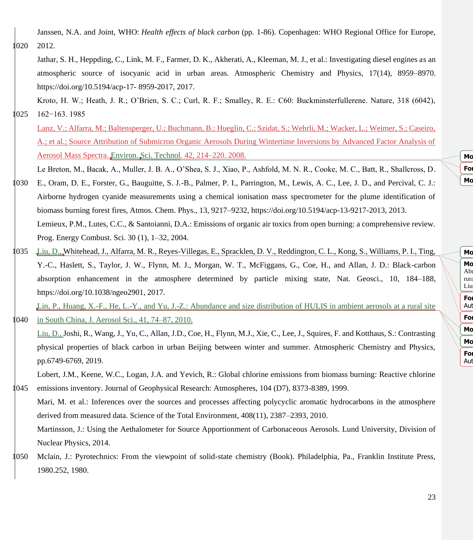Janssen, N.A. and Joint, WHO: *Health effects of black carbon* (pp. 1-86). Copenhagen: WHO Regional Office for Europe, 020 2012.

Jathar, S. H., Heppding, C., Link, M. F., Farmer, D. K., Akherati, A., Kleeman, M. J., et al.: Investigating diesel engines as an atmospheric source of isocyanic acid in urban areas. Atmospheric Chemistry and Physics, 17(14), 8959–8970. https://doi.org/10.5194/acp-17- 8959-2017, 2017.

Kroto, H. W.; Heath, J. R.; O'Brien, S. C.; Curl, R. F.; Smalley, R. E.: C60: Buckminsterfullerene. Nature, 318 (6042),

1025 162−163. 1985

Lanz, V.; Alfarra, M.; Baltensperger, U.; Buchmann, B.; Hueglin, C.; Szidat, S.; Wehrli, M.; Wacker, L.; Weimer, S.; Caseiro, A.; et al.; Source Attribution of Submicron Organic Aerosols During Wintertime Inversions by Advanced Factor Analysis of Aerosol Mass Spectra. Environ. Sci. Technol. 42, 214–220. 2008.

Le Breton, M., Bacak, A., Muller, J. B. A., O'Shea, S. J., Xiao, P., Ashfold, M. N. R., Cooke, M. C., Batt, R., Shallcross, D.

- 1030 E., Oram, D. E., Forster, G., Bauguitte, S. J.-B., Palmer, P. I., Parrington, M., Lewis, A. C., Lee, J. D., and Percival, C. J.: Airborne hydrogen cyanide measurements using a chemical ionisation mass spectrometer for the plume identification of biomass burning forest fires, Atmos. Chem. Phys., 13, 9217–9232, https://doi.org/10.5194/acp-13-9217-2013, 2013. Lemieux, P.M., Lutes, C.C., & Santoianni, D.A.: Emissions of organic air toxics from open burning: a comprehensive review. Prog. Energy Combust. Sci. 30 (1), 1–32, 2004.
- 1035 Liu, D., Whitehead, J., Alfarra, M. R., Reyes-Villegas, E., Spracklen, D. V., Reddington, C. L., Kong, S., Williams, P. I., Ting, Y.-C., Haslett, S., Taylor, J. W., Flynn, M. J., Morgan, W. T., McFiggans, G., Coe, H., and Allan, J. D.: Black-carbon absorption enhancement in the atmosphere determined by particle mixing state, Nat. Geosci., 10, 184–188, https://doi.org/10.1038/ngeo2901, 2017.

Lin, P., Huang, X.-F., He, L.-Y., and Yu, J.-Z.: Abundance and size distribution of HULIS in ambient aerosols at a rural site 040 in South China, J. Aerosol Sci., 41, 74–87, 2010.

Liu, D., Joshi, R., Wang, J., Yu, C., Allan, J.D., Coe, H., Flynn, M.J., Xie, C., Lee, J., Squires, F. and Kotthaus, S.: Contrasting physical properties of black carbon in urban Beijing between winter and summer. Atmospheric Chemistry and Physics, pp.6749-6769, 2019.

Lobert, J.M., Keene, W.C., Logan, J.A. and Yevich, R.: Global chlorine emissions from biomass burning: Reactive chlorine 1045 emissions inventory. Journal of Geophysical Research: Atmospheres, 104 (D7), 8373-8389, 1999.

Mari, M. et al.: Inferences over the sources and processes affecting polycyclic aromatic hydrocarbons in the atmosphere derived from measured data. Science of the Total Environment, 408(11), 2387–2393, 2010. Martinsson, J.: Using the Aethalometer for Source Apportionment of Carbonaceous Aerosols. Lund University, Division of

- Nuclear Physics, 2014.
- 1050 Mclain, J.: Pyrotechnics: From the viewpoint of solid-state chemistry (Book). Philadelphia, Pa., Franklin Institute Press, 1980.252, 1980.

**Moved (insertion) [4] Formatted:** Font color: Auto **Moved (insertion) [5]**

**Moved (insertion) [7]** Mo Abu rura Liu **Formatted:** Font: +Body (Times New Roman), Font color: Aut **Formatted:** Font color: Auto **Mc Moved (insertion) [8] Formatted:** Font: +Body (Times New Roman), Font color: Aut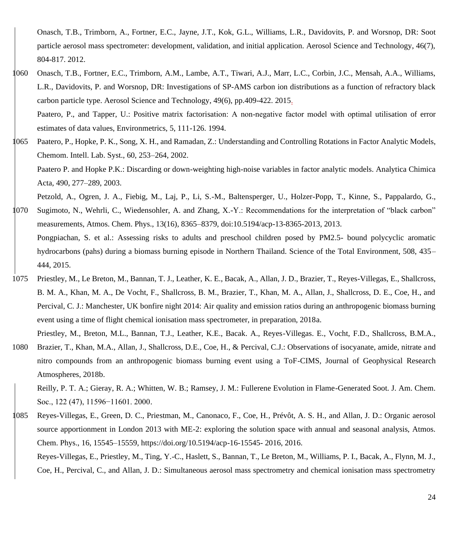Onasch, T.B., Trimborn, A., Fortner, E.C., Jayne, J.T., Kok, G.L., Williams, L.R., Davidovits, P. and Worsnop, DR: Soot particle aerosol mass spectrometer: development, validation, and initial application. Aerosol Science and Technology, 46(7), 804-817. 2012.

1060 Onasch, T.B., Fortner, E.C., Trimborn, A.M., Lambe, A.T., Tiwari, A.J., Marr, L.C., Corbin, J.C., Mensah, A.A., Williams, L.R., Davidovits, P. and Worsnop, DR: Investigations of SP-AMS carbon ion distributions as a function of refractory black carbon particle type. Aerosol Science and Technology, 49(6), pp.409-422. 2015. Paatero, P., and Tapper, U.: Positive matrix factorisation: A non-negative factor model with optimal utilisation of error

estimates of data values, Environmetrics, 5, 111-126. 1994.

1065 Paatero, P., Hopke, P. K., Song, X. H., and Ramadan, Z.: Understanding and Controlling Rotations in Factor Analytic Models, Chemom. Intell. Lab. Syst., 60, 253–264, 2002. Paatero P. and Hopke P.K.: Discarding or down-weighting high-noise variables in factor analytic models. Analytica Chimica Acta, 490, 277–289, 2003.

Petzold, A., Ogren, J. A., Fiebig, M., Laj, P., Li, S.-M., Baltensperger, U., Holzer-Popp, T., Kinne, S., Pappalardo, G.,

- 1070 Sugimoto, N., Wehrli, C., Wiedensohler, A. and Zhang, X.-Y.: Recommendations for the interpretation of "black carbon" measurements, Atmos. Chem. Phys., 13(16), 8365–8379, doi:10.5194/acp-13-8365-2013, 2013. Pongpiachan, S. et al.: Assessing risks to adults and preschool children posed by PM2.5- bound polycyclic aromatic hydrocarbons (pahs) during a biomass burning episode in Northern Thailand. Science of the Total Environment, 508, 435– 444, 2015.
- 1075 Priestley, M., Le Breton, M., Bannan, T. J., Leather, K. E., Bacak, A., Allan, J. D., Brazier, T., Reyes-Villegas, E., Shallcross, B. M. A., Khan, M. A., De Vocht, F., Shallcross, B. M., Brazier, T., Khan, M. A., Allan, J., Shallcross, D. E., Coe, H., and Percival, C. J.: Manchester, UK bonfire night 2014: Air quality and emission ratios during an anthropogenic biomass burning event using a time of flight chemical ionisation mass spectrometer, in preparation, 2018a.
- Priestley, M., Breton, M.L., Bannan, T.J., Leather, K.E., Bacak. A., Reyes-Villegas. E., Vocht, F.D., Shallcross, B.M.A., 1080 Brazier, T., Khan, M.A., Allan, J., Shallcross, D.E., Coe, H., & Percival, C.J.: Observations of isocyanate, amide, nitrate and nitro compounds from an anthropogenic biomass burning event using a ToF-CIMS, Journal of Geophysical Research Atmospheres, 2018b.

Reilly, P. T. A.; Gieray, R. A.; Whitten, W. B.; Ramsey, J. M.: Fullerene Evolution in Flame-Generated Soot. J. Am. Chem. Soc., 122 (47), 11596−11601. 2000.

1085 Reyes-Villegas, E., Green, D. C., Priestman, M., Canonaco, F., Coe, H., Prévôt, A. S. H., and Allan, J. D.: Organic aerosol source apportionment in London 2013 with ME-2: exploring the solution space with annual and seasonal analysis, Atmos. Chem. Phys., 16, 15545–15559, https://doi.org/10.5194/acp-16-15545- 2016, 2016. Reyes-Villegas, E., Priestley, M., Ting, Y.-C., Haslett, S., Bannan, T., Le Breton, M., Williams, P. I., Bacak, A., Flynn, M. J.,

Coe, H., Percival, C., and Allan, J. D.: Simultaneous aerosol mass spectrometry and chemical ionisation mass spectrometry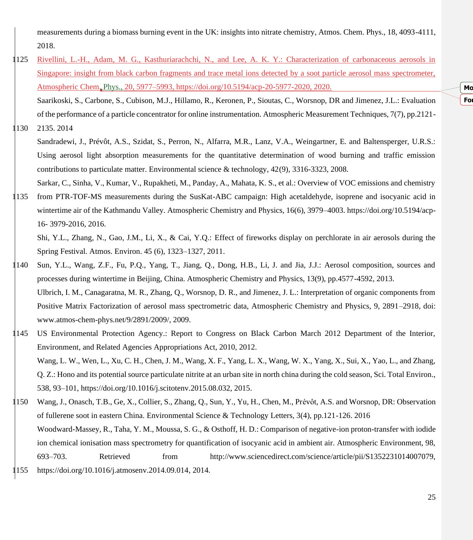measurements during a biomass burning event in the UK: insights into nitrate chemistry, Atmos. Chem. Phys., 18, 4093-4111, 2018.

1125 Rivellini, L.-H., Adam, M. G., Kasthuriarachchi, N., and Lee, A. K. Y.: Characterization of carbonaceous aerosols in Singapore: insight from black carbon fragments and trace metal ions detected by a soot particle aerosol mass spectrometer, Atmospheric Chem. Phys., 20, 5977–5993, https://doi.org/10.5194/acp-20-5977-2020, 2020. Saarikoski, S., Carbone, S., Cubison, M.J., Hillamo, R., Keronen, P., Sioutas, C., Worsnop, DR and Jimenez, J.L.: Evaluation

of the performance of a particle concentrator for online instrumentation. Atmospheric Measurement Techniques, 7(7), pp.2121-

- 1130 2135. 2014
	- Sandradewi, J., Prévôt, A.S., Szidat, S., Perron, N., Alfarra, M.R., Lanz, V.A., Weingartner, E. and Baltensperger, U.R.S.: Using aerosol light absorption measurements for the quantitative determination of wood burning and traffic emission contributions to particulate matter. Environmental science & technology, 42(9), 3316-3323, 2008.
- Sarkar, C., Sinha, V., Kumar, V., Rupakheti, M., Panday, A., Mahata, K. S., et al.: Overview of VOC emissions and chemistry 1135 from PTR-TOF-MS measurements during the SusKat-ABC campaign: High acetaldehyde, isoprene and isocyanic acid in wintertime air of the Kathmandu Valley. Atmospheric Chemistry and Physics, 16(6), 3979-4003. [https://doi.org/10.5194/acp-](https://doi.org/10.5194/acp-16-%203979-2016)16- [3979-2016,](https://doi.org/10.5194/acp-16-%203979-2016) 2016.

Shi, Y.L., Zhang, N., Gao, J.M., Li, X., & Cai, Y.Q.: Effect of fireworks display on perchlorate in air aerosols during the Spring Festival. Atmos. Environ. 45 (6), 1323–1327, 2011.

- 1140 Sun, Y.L., Wang, Z.F., Fu, P.Q., Yang, T., Jiang, Q., Dong, H.B., Li, J. and Jia, J.J.: Aerosol composition, sources and processes during wintertime in Beijing, China. Atmospheric Chemistry and Physics, 13(9), pp.4577-4592, 2013. Ulbrich, I. M., Canagaratna, M. R., Zhang, Q., Worsnop, D. R., and Jimenez, J. L.: Interpretation of organic components from Positive Matrix Factorization of aerosol mass spectrometric data, Atmospheric Chemistry and Physics, 9, 2891–2918, doi: www.atmos-chem-phys.net/9/2891/2009/, 2009.
- 1145 US Environmental Protection Agency.: Report to Congress on Black Carbon March 2012 Department of the Interior, Environment, and Related Agencies Appropriations Act, 2010, 2012. Wang, L. W., Wen, L., Xu, C. H., Chen, J. M., Wang, X. F., Yang, L. X., Wang, W. X., Yang, X., Sui, X., Yao, L., and Zhang, Q. Z.: Hono and its potential source particulate nitrite at an urban site in north china during the cold season, Sci. Total Environ., 538, 93–101, https://doi.org/10.1016/j.scitotenv.2015.08.032, 2015.
- 1150 Wang, J., Onasch, T.B., Ge, X., Collier, S., Zhang, Q., Sun, Y., Yu, H., Chen, M., Prévôt, A.S. and Worsnop, DR: Observation of fullerene soot in eastern China. Environmental Science & Technology Letters, 3(4), pp.121-126. 2016 Woodward-Massey, R., Taha, Y. M., Moussa, S. G., & Osthoff, H. D.: Comparison of negative-ion proton-transfer with iodide ion chemical ionisation mass spectrometry for quantification of isocyanic acid in ambient air. Atmospheric Environment, 98, 693–703. Retrieved from http://www.sciencedirect.com/science/article/pii/S1352231014007079, 1155 [https://doi.org/10.1016/j.atmosenv.2014.09.014,](https://doi.org/10.1016/j.atmosenv.2014.09.014) 2014.

**Moved (insertion) [6] Formatted:** Font color: Auto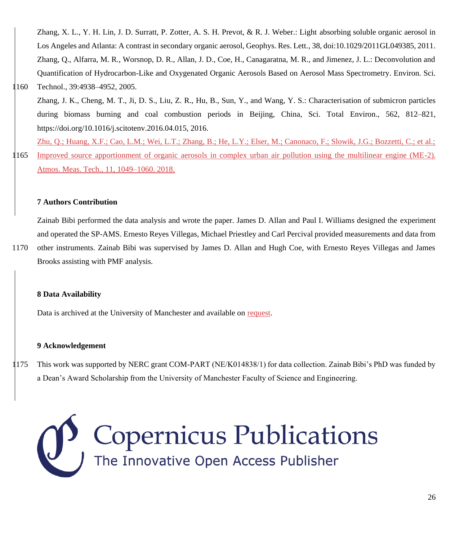Zhang, X. L., Y. H. Lin, J. D. Surratt, P. Zotter, A. S. H. Prevot, & R. J. Weber.: Light absorbing soluble organic aerosol in Los Angeles and Atlanta: A contrast in secondary organic aerosol, Geophys. Res. Lett., 38, doi:10.1029/2011GL049385, 2011. Zhang, Q., Alfarra, M. R., Worsnop, D. R., Allan, J. D., Coe, H., Canagaratna, M. R., and Jimenez, J. L.: Deconvolution and Quantification of Hydrocarbon-Like and Oxygenated Organic Aerosols Based on Aerosol Mass Spectrometry. Environ. Sci.

## 1160 Technol., 39:4938–4952, 2005.

Zhang, J. K., Cheng, M. T., Ji, D. S., Liu, Z. R., Hu, B., Sun, Y., and Wang, Y. S.: Characterisation of submicron particles during biomass burning and coal combustion periods in Beijing, China, Sci. Total Environ., 562, 812–821, https://doi.org/10.1016/j.scitotenv.2016.04.015, 2016.

Zhu, Q.; Huang, X.F.; Cao, L.M.; Wei, L.T.; Zhang, B.; He, L.Y.; Elser, M.; Canonaco, F.; Slowik, J.G.; Bozzetti, C.; et al.; 1165 Improved source apportionment of organic aerosols in complex urban air pollution using the multilinear engine (ME-2). Atmos. Meas. Tech., 11, 1049–1060. 2018.

## **7 Authors Contribution**

Zainab Bibi performed the data analysis and wrote the paper. James D. Allan and Paul I. Williams designed the experiment and operated the SP-AMS. Ernesto Reyes Villegas, Michael Priestley and Carl Percival provided measurements and data from

1170 other instruments. Zainab Bibi was supervised by James D. Allan and Hugh Coe, with Ernesto Reyes Villegas and James Brooks assisting with PMF analysis.

## **8 Data Availability**

Data is archived at the University of Manchester and available on request.

## **9 Acknowledgement**

1175 This work was supported by NERC grant COM-PART (NE/K014838/1) for data collection. Zainab Bibi's PhD was funded by a Dean's Award Scholarship from the University of Manchester Faculty of Science and Engineering.